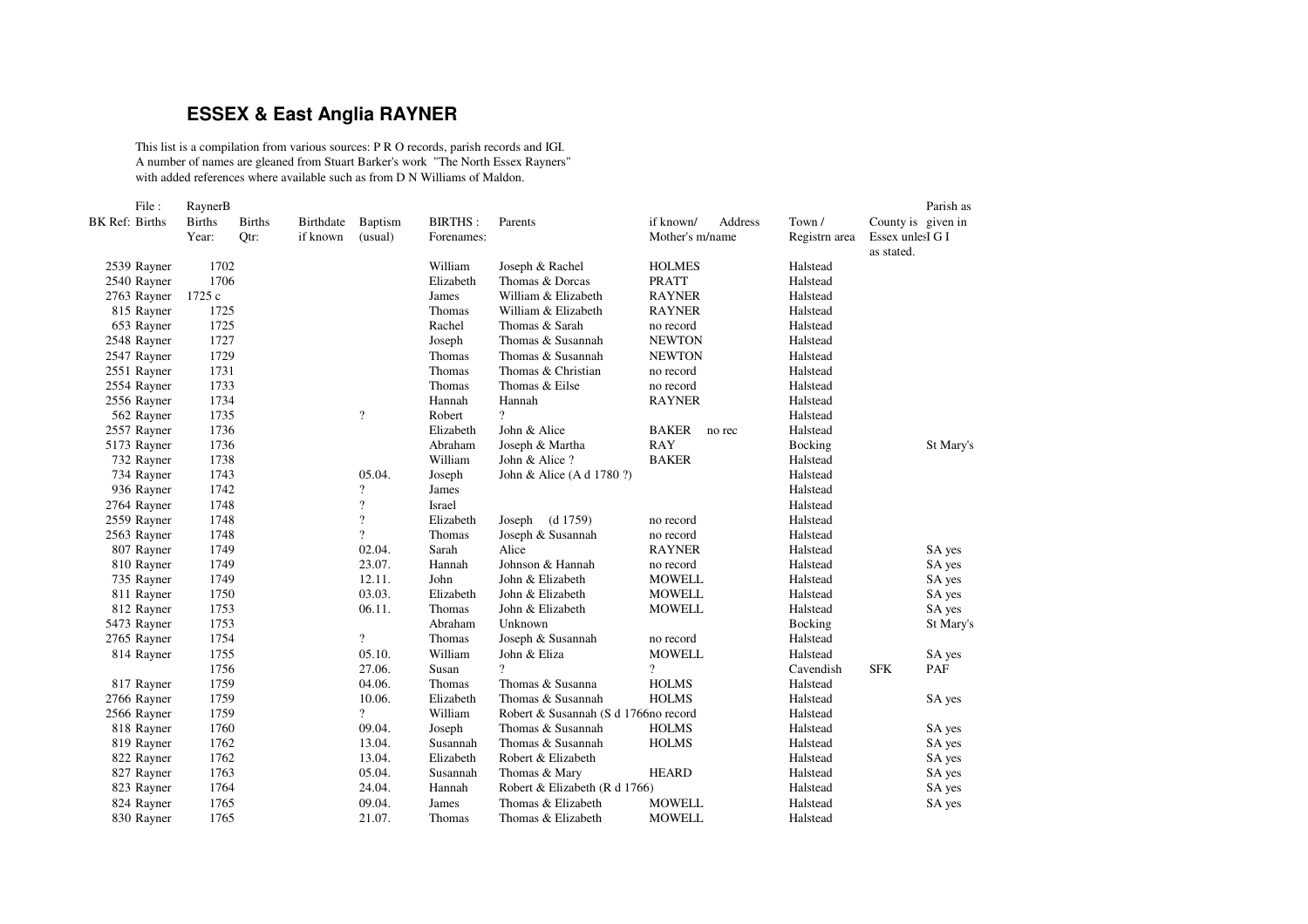## **ESSEX & East Anglia RAYNER**

This list is <sup>a</sup> compilation from various sources: P R O records, parish records and IGI. A number of names are gleaned from Stuart Barker's work "The North Essex Rayners" with added references where available such as from D N Williams of Maldon.

| File:          | RaynerB       |               |           |                    |                |                                      |                        |               |                  | Parish as          |
|----------------|---------------|---------------|-----------|--------------------|----------------|--------------------------------------|------------------------|---------------|------------------|--------------------|
| BK Ref: Births | <b>Births</b> | <b>Births</b> | Birthdate | <b>Baptism</b>     | <b>BIRTHS:</b> | Parents                              | if known/<br>Address   | Town /        |                  | County is given in |
|                | Year:         | Qtr:          | if known  | (usual)            | Forenames:     |                                      | Mother's m/name        | Registrn area | Essex unlesI G I |                    |
|                |               |               |           |                    |                |                                      |                        |               | as stated.       |                    |
| 2539 Rayner    | 1702          |               |           |                    | William        | Joseph & Rachel                      | <b>HOLMES</b>          | Halstead      |                  |                    |
| 2540 Rayner    | 1706          |               |           |                    | Elizabeth      | Thomas & Dorcas                      | <b>PRATT</b>           | Halstead      |                  |                    |
| 2763 Rayner    | 1725 c        |               |           |                    | James          | William & Elizabeth                  | <b>RAYNER</b>          | Halstead      |                  |                    |
| 815 Rayner     | 1725          |               |           |                    | Thomas         | William & Elizabeth                  | <b>RAYNER</b>          | Halstead      |                  |                    |
| 653 Rayner     | 1725          |               |           |                    | Rachel         | Thomas & Sarah                       | no record              | Halstead      |                  |                    |
| 2548 Rayner    | 1727          |               |           |                    | Joseph         | Thomas & Susannah                    | <b>NEWTON</b>          | Halstead      |                  |                    |
| 2547 Rayner    | 1729          |               |           |                    | Thomas         | Thomas & Susannah                    | <b>NEWTON</b>          | Halstead      |                  |                    |
| 2551 Rayner    | 1731          |               |           |                    | Thomas         | Thomas & Christian                   | no record              | Halstead      |                  |                    |
| 2554 Rayner    | 1733          |               |           |                    | Thomas         | Thomas & Eilse                       | no record              | Halstead      |                  |                    |
| 2556 Rayner    | 1734          |               |           |                    | Hannah         | Hannah                               | <b>RAYNER</b>          | Halstead      |                  |                    |
| 562 Rayner     | 1735          |               |           | $\gamma$           | Robert         | $\overline{?}$                       |                        | Halstead      |                  |                    |
| 2557 Rayner    | 1736          |               |           |                    | Elizabeth      | John & Alice                         | <b>BAKER</b><br>no rec | Halstead      |                  |                    |
| 5173 Rayner    | 1736          |               |           |                    | Abraham        | Joseph & Martha                      | <b>RAY</b>             | Bocking       |                  | St Mary's          |
| 732 Rayner     | 1738          |               |           |                    | William        | John & Alice?                        | <b>BAKER</b>           | Halstead      |                  |                    |
| 734 Rayner     | 1743          |               |           | 05.04.             | Joseph         | John & Alice (A d 1780 ?)            |                        | Halstead      |                  |                    |
| 936 Rayner     | 1742          |               |           | $\gamma$           | James          |                                      |                        | Halstead      |                  |                    |
| 2764 Rayner    | 1748          |               |           | $\overline{\cdot}$ | Israel         |                                      |                        | Halstead      |                  |                    |
| 2559 Rayner    | 1748          |               |           | $\overline{?}$     | Elizabeth      | (d 1759)<br>Joseph                   | no record              | Halstead      |                  |                    |
| 2563 Rayner    | 1748          |               |           | $\overline{?}$     | Thomas         | Joseph & Susannah                    | no record              | Halstead      |                  |                    |
| 807 Rayner     | 1749          |               |           | 02.04.             | Sarah          | Alice                                | <b>RAYNER</b>          | Halstead      |                  | SA yes             |
| 810 Rayner     | 1749          |               |           | 23.07.             | Hannah         | Johnson & Hannah                     | no record              | Halstead      |                  | SA yes             |
| 735 Rayner     | 1749          |               |           | 12.11.             | John           | John & Elizabeth                     | <b>MOWELL</b>          | Halstead      |                  | SA yes             |
| 811 Rayner     | 1750          |               |           | 03.03.             | Elizabeth      | John & Elizabeth                     | <b>MOWELL</b>          | Halstead      |                  | SA yes             |
| 812 Rayner     | 1753          |               |           | 06.11.             | Thomas         | John & Elizabeth                     | <b>MOWELL</b>          | Halstead      |                  | SA yes             |
| 5473 Rayner    | 1753          |               |           |                    | Abraham        | Unknown                              |                        | Bocking       |                  | St Mary's          |
| 2765 Rayner    | 1754          |               |           | $\overline{?}$     | Thomas         | Joseph & Susannah                    | no record              | Halstead      |                  |                    |
| 814 Rayner     | 1755          |               |           | 05.10.             | William        | John & Eliza                         | <b>MOWELL</b>          | Halstead      |                  | SA yes             |
|                | 1756          |               |           | 27.06.             | Susan          | 9                                    | $\overline{?}$         | Cavendish     | <b>SFK</b>       | PAF                |
| 817 Rayner     | 1759          |               |           | 04.06.             | Thomas         | Thomas & Susanna                     | <b>HOLMS</b>           | Halstead      |                  |                    |
| 2766 Rayner    | 1759          |               |           | 10.06.             | Elizabeth      | Thomas & Susannah                    | <b>HOLMS</b>           | Halstead      |                  | SA yes             |
| 2566 Rayner    | 1759          |               |           | $\overline{?}$     | William        | Robert & Susannah (S d 1766no record |                        | Halstead      |                  |                    |
| 818 Rayner     | 1760          |               |           | 09.04.             | Joseph         | Thomas & Susannah                    | <b>HOLMS</b>           | Halstead      |                  | SA yes             |
| 819 Rayner     | 1762          |               |           | 13.04.             | Susannah       | Thomas & Susannah                    | <b>HOLMS</b>           | Halstead      |                  | SA yes             |
| 822 Rayner     | 1762          |               |           | 13.04.             | Elizabeth      | Robert & Elizabeth                   |                        | Halstead      |                  | SA yes             |
| 827 Rayner     | 1763          |               |           | 05.04.             | Susannah       | Thomas & Mary                        | <b>HEARD</b>           | Halstead      |                  | SA yes             |
| 823 Rayner     | 1764          |               |           | 24.04.             | Hannah         | Robert & Elizabeth (R d 1766)        |                        | Halstead      |                  | SA yes             |
| 824 Rayner     | 1765          |               |           | 09.04.             | James          | Thomas & Elizabeth                   | <b>MOWELL</b>          | Halstead      |                  | SA yes             |
| 830 Rayner     | 1765          |               |           | 21.07.             | <b>Thomas</b>  | Thomas & Elizabeth                   | <b>MOWELL</b>          | Halstead      |                  |                    |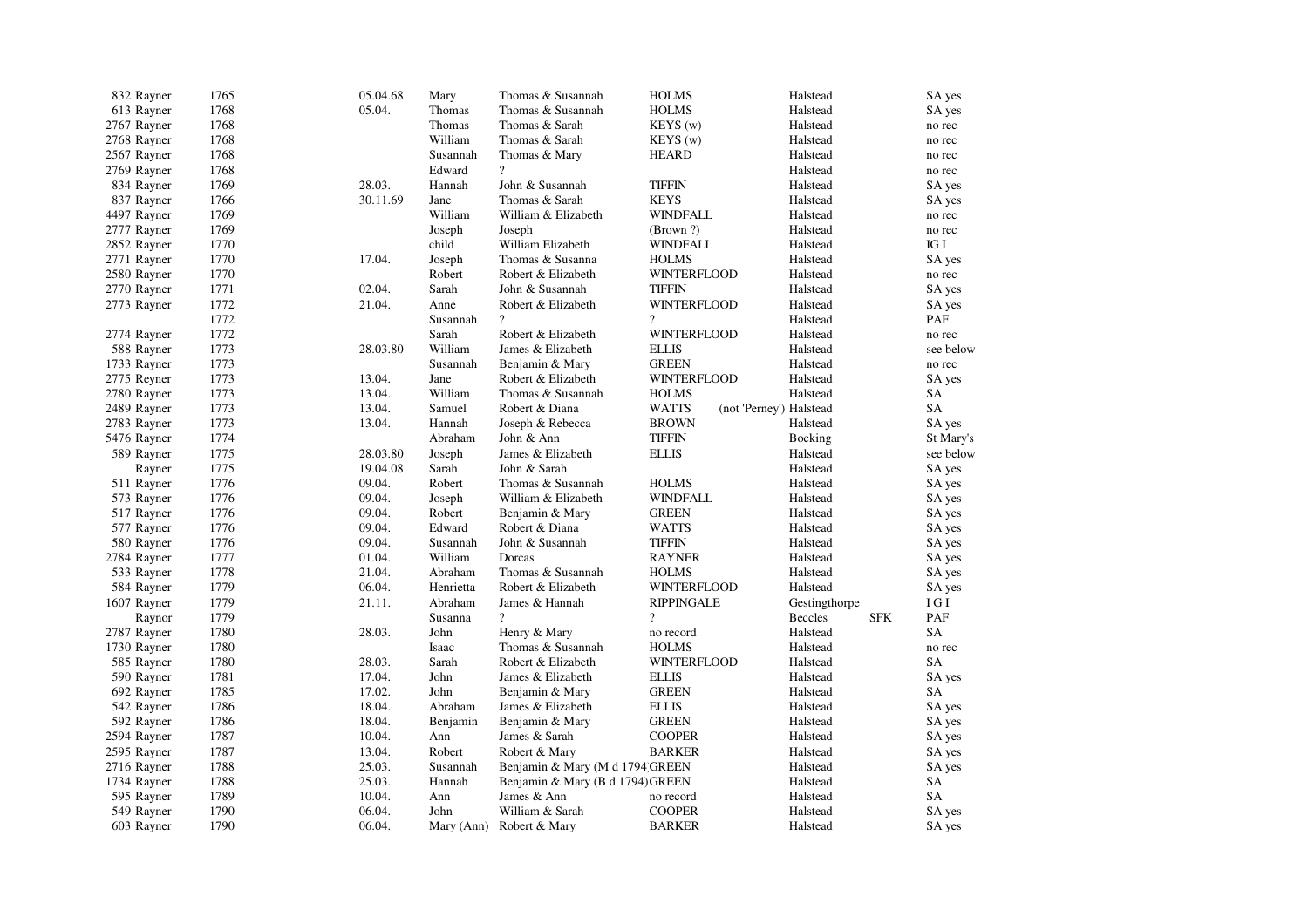| 832 Rayner  | 1765 | 05.04.68 | Mary       | Thomas & Susannah                | <b>HOLMS</b>       | Halstead                | SA yes    |
|-------------|------|----------|------------|----------------------------------|--------------------|-------------------------|-----------|
| 613 Rayner  | 1768 | 05.04.   | Thomas     | Thomas & Susannah                | <b>HOLMS</b>       | Halstead                | SA yes    |
| 2767 Rayner | 1768 |          | Thomas     | Thomas & Sarah                   | KEYS(w)            | Halstead                | no rec    |
| 2768 Rayner | 1768 |          | William    | Thomas & Sarah                   | KEYS(w)            | Halstead                | no rec    |
| 2567 Rayner | 1768 |          | Susannah   | Thomas & Mary                    | <b>HEARD</b>       | Halstead                | no rec    |
| 2769 Rayner | 1768 |          | Edward     | $\overline{\mathcal{L}}$         |                    | Halstead                | no rec    |
| 834 Rayner  | 1769 | 28.03.   | Hannah     | John & Susannah                  | <b>TIFFIN</b>      | Halstead                | SA yes    |
| 837 Rayner  | 1766 | 30.11.69 | Jane       | Thomas & Sarah                   | <b>KEYS</b>        | Halstead                | SA yes    |
| 4497 Rayner | 1769 |          | William    | William & Elizabeth              | <b>WINDFALL</b>    | Halstead                | no rec    |
| 2777 Rayner | 1769 |          | Joseph     | Joseph                           | (Brown ?)          | Halstead                | no rec    |
| 2852 Rayner | 1770 |          | child      | William Elizabeth                | <b>WINDFALL</b>    | Halstead                | IG I      |
| 2771 Rayner | 1770 | 17.04.   | Joseph     | Thomas & Susanna                 | <b>HOLMS</b>       | Halstead                | SA yes    |
| 2580 Rayner | 1770 |          | Robert     | Robert & Elizabeth               | <b>WINTERFLOOD</b> | Halstead                | no rec    |
| 2770 Rayner | 1771 | 02.04.   | Sarah      | John & Susannah                  | TIFFIN             | Halstead                | SA yes    |
| 2773 Rayner | 1772 | 21.04.   | Anne       | Robert & Elizabeth               | <b>WINTERFLOOD</b> | Halstead                | SA yes    |
|             | 1772 |          | Susannah   | $\gamma$                         | $\gamma$           | Halstead                | PAF       |
| 2774 Rayner | 1772 |          | Sarah      | Robert & Elizabeth               | <b>WINTERFLOOD</b> | Halstead                | no rec    |
| 588 Rayner  | 1773 | 28.03.80 | William    | James & Elizabeth                | <b>ELLIS</b>       | Halstead                | see below |
| 1733 Rayner | 1773 |          | Susannah   | Benjamin & Mary                  | <b>GREEN</b>       | Halstead                | no rec    |
| 2775 Reyner | 1773 | 13.04.   | Jane       | Robert & Elizabeth               | <b>WINTERFLOOD</b> | Halstead                | SA yes    |
| 2780 Rayner | 1773 | 13.04.   | William    | Thomas & Susannah                | <b>HOLMS</b>       | Halstead                | SA        |
| 2489 Rayner | 1773 | 13.04.   | Samuel     | Robert & Diana                   | WATTS              | (not 'Perney') Halstead | SA        |
| 2783 Rayner | 1773 | 13.04.   | Hannah     | Joseph & Rebecca                 | <b>BROWN</b>       | Halstead                | SA yes    |
|             | 1774 |          | Abraham    | John & Ann                       | <b>TIFFIN</b>      |                         |           |
| 5476 Rayner | 1775 | 28.03.80 |            | James & Elizabeth                |                    | Bocking                 | St Mary's |
| 589 Rayner  |      |          | Joseph     |                                  | <b>ELLIS</b>       | Halstead                | see below |
| Rayner      | 1775 | 19.04.08 | Sarah      | John & Sarah                     |                    | Halstead                | SA yes    |
| 511 Rayner  | 1776 | 09.04.   | Robert     | Thomas & Susannah                | <b>HOLMS</b>       | Halstead                | SA yes    |
| 573 Rayner  | 1776 | 09.04.   | Joseph     | William & Elizabeth              | <b>WINDFALL</b>    | Halstead                | SA yes    |
| 517 Rayner  | 1776 | 09.04.   | Robert     | Benjamin & Mary                  | <b>GREEN</b>       | Halstead                | SA yes    |
| 577 Rayner  | 1776 | 09.04.   | Edward     | Robert & Diana                   | <b>WATTS</b>       | Halstead                | SA yes    |
| 580 Rayner  | 1776 | 09.04.   | Susannah   | John & Susannah                  | <b>TIFFIN</b>      | Halstead                | SA yes    |
| 2784 Rayner | 1777 | 01.04.   | William    | Dorcas                           | RAYNER             | Halstead                | SA yes    |
| 533 Rayner  | 1778 | 21.04.   | Abraham    | Thomas & Susannah                | <b>HOLMS</b>       | Halstead                | SA yes    |
| 584 Rayner  | 1779 | 06.04.   | Henrietta  | Robert & Elizabeth               | <b>WINTERFLOOD</b> | Halstead                | SA yes    |
| 1607 Rayner | 1779 | 21.11.   | Abraham    | James & Hannah                   | <b>RIPPINGALE</b>  | Gestingthorpe           | I G I     |
| Raynor      | 1779 |          | Susanna    | $\overline{?}$                   | $\overline{?}$     | Beccles<br><b>SFK</b>   | PAF       |
| 2787 Rayner | 1780 | 28.03.   | John       | Henry & Mary                     | no record          | Halstead                | SA        |
| 1730 Rayner | 1780 |          | Isaac      | Thomas & Susannah                | <b>HOLMS</b>       | Halstead                | no rec    |
| 585 Rayner  | 1780 | 28.03.   | Sarah      | Robert & Elizabeth               | <b>WINTERFLOOD</b> | Halstead                | <b>SA</b> |
| 590 Rayner  | 1781 | 17.04.   | John       | James & Elizabeth                | <b>ELLIS</b>       | Halstead                | SA yes    |
| 692 Rayner  | 1785 | 17.02.   | John       | Benjamin & Mary                  | <b>GREEN</b>       | Halstead                | <b>SA</b> |
| 542 Rayner  | 1786 | 18.04.   | Abraham    | James & Elizabeth                | <b>ELLIS</b>       | Halstead                | SA yes    |
| 592 Rayner  | 1786 | 18.04.   | Benjamin   | Benjamin & Mary                  | <b>GREEN</b>       | Halstead                | SA yes    |
| 2594 Rayner | 1787 | 10.04.   | Ann        | James & Sarah                    | <b>COOPER</b>      | Halstead                | SA yes    |
| 2595 Rayner | 1787 | 13.04.   | Robert     | Robert & Mary                    | <b>BARKER</b>      | Halstead                | SA yes    |
| 2716 Rayner | 1788 | 25.03.   | Susannah   | Benjamin & Mary (M d 1794 GREEN  |                    | Halstead                | SA yes    |
| 1734 Rayner | 1788 | 25.03.   | Hannah     | Benjamin & Mary (B d 1794) GREEN |                    | Halstead                | SA        |
| 595 Rayner  | 1789 | 10.04.   | Ann        | James & Ann                      | no record          | Halstead                | SA        |
| 549 Rayner  | 1790 | 06.04.   | John       | William & Sarah                  | <b>COOPER</b>      | Halstead                | SA yes    |
| 603 Rayner  | 1790 | 06.04.   | Mary (Ann) | Robert & Mary                    | <b>BARKER</b>      | Halstead                | SA yes    |